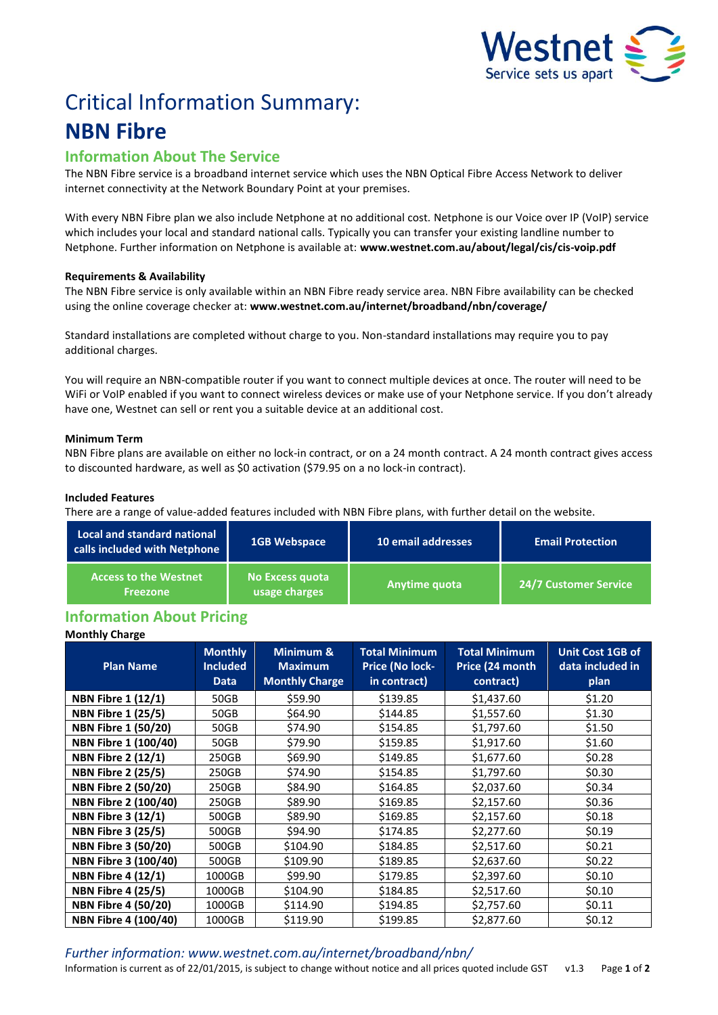

# Critical Information Summary: **NBN Fibre**

# **Information About The Service**

The NBN Fibre service is a broadband internet service which uses the NBN Optical Fibre Access Network to deliver internet connectivity at the Network Boundary Point at your premises.

With every NBN Fibre plan we also include Netphone at no additional cost. Netphone is our Voice over IP (VoIP) service which includes your local and standard national calls. Typically you can transfer your existing landline number to Netphone. Further information on Netphone is available at: **www.westnet.com.au/about/legal/cis/cis-voip.pdf**

# **Requirements & Availability**

The NBN Fibre service is only available within an NBN Fibre ready service area. NBN Fibre availability can be checked using the online coverage checker at: **www.westnet.com.au/internet/broadband/nbn/coverage/**

Standard installations are completed without charge to you. Non-standard installations may require you to pay additional charges.

You will require an NBN-compatible router if you want to connect multiple devices at once. The router will need to be WiFi or VoIP enabled if you want to connect wireless devices or make use of your Netphone service. If you don't already have one, Westnet can sell or rent you a suitable device at an additional cost.

# **Minimum Term**

NBN Fibre plans are available on either no lock-in contract, or on a 24 month contract. A 24 month contract gives access to discounted hardware, as well as \$0 activation (\$79.95 on a no lock-in contract).

# **Included Features**

There are a range of value-added features included with NBN Fibre plans, with further detail on the website.

| <b>Local and standard national</b><br>calls included with Netphone | <b>1GB Webspace</b>              | 10 email addresses | <b>Email Protection</b>      |  |
|--------------------------------------------------------------------|----------------------------------|--------------------|------------------------------|--|
| <b>Access to the Westnet</b><br><b>Freezone</b>                    | No Excess quota<br>usage charges | Anytime quota      | <b>24/7 Customer Service</b> |  |

# **Information About Pricing**

# **Monthly Charge**

| <b>Plan Name</b>            | <b>Monthly</b><br><b>Included</b><br><b>Data</b> | Minimum &<br><b>Maximum</b><br><b>Monthly Charge</b> | <b>Total Minimum</b><br>Price (No lock-<br>in contract) | <b>Total Minimum</b><br>Price (24 month<br>contract) | <b>Unit Cost 1GB of</b><br>data included in<br>plan |
|-----------------------------|--------------------------------------------------|------------------------------------------------------|---------------------------------------------------------|------------------------------------------------------|-----------------------------------------------------|
| <b>NBN Fibre 1 (12/1)</b>   | 50GB                                             | \$59.90                                              | \$139.85                                                | \$1,437.60                                           | \$1.20                                              |
| <b>NBN Fibre 1 (25/5)</b>   | 50GB                                             | \$64.90                                              | \$144.85                                                | \$1,557.60                                           | \$1.30                                              |
| <b>NBN Fibre 1 (50/20)</b>  | 50GB                                             | \$74.90                                              | \$154.85                                                | \$1,797.60                                           | \$1.50                                              |
| NBN Fibre 1 (100/40)        | 50GB                                             | \$79.90                                              | \$159.85                                                | \$1,917.60                                           | \$1.60                                              |
| <b>NBN Fibre 2 (12/1)</b>   | 250GB                                            | \$69.90                                              | \$149.85                                                | \$1,677.60                                           | \$0.28                                              |
| <b>NBN Fibre 2 (25/5)</b>   | 250GB                                            | \$74.90                                              | \$154.85                                                | \$1,797.60                                           | \$0.30                                              |
| <b>NBN Fibre 2 (50/20)</b>  | 250GB                                            | \$84.90                                              | \$164.85                                                | \$2,037.60                                           | \$0.34                                              |
| NBN Fibre 2 (100/40)        | 250GB                                            | \$89.90                                              | \$169.85                                                | \$2,157.60                                           | \$0.36                                              |
| <b>NBN Fibre 3 (12/1)</b>   | 500GB                                            | \$89.90                                              | \$169.85                                                | \$2,157.60                                           | \$0.18                                              |
| <b>NBN Fibre 3 (25/5)</b>   | 500GB                                            | \$94.90                                              | \$174.85                                                | \$2,277.60                                           | \$0.19                                              |
| <b>NBN Fibre 3 (50/20)</b>  | 500GB                                            | \$104.90                                             | \$184.85                                                | \$2,517.60                                           | \$0.21                                              |
| <b>NBN Fibre 3 (100/40)</b> | 500GB                                            | \$109.90                                             | \$189.85                                                | \$2,637.60                                           | \$0.22                                              |
| <b>NBN Fibre 4 (12/1)</b>   | 1000GB                                           | \$99.90                                              | \$179.85                                                | \$2,397.60                                           | \$0.10                                              |
| <b>NBN Fibre 4 (25/5)</b>   | 1000GB                                           | \$104.90                                             | \$184.85                                                | \$2,517.60                                           | \$0.10                                              |
| <b>NBN Fibre 4 (50/20)</b>  | 1000GB                                           | \$114.90                                             | \$194.85                                                | \$2,757.60                                           | \$0.11                                              |
| <b>NBN Fibre 4 (100/40)</b> | 1000GB                                           | \$119.90                                             | \$199.85                                                | \$2,877.60                                           | \$0.12                                              |

*Further information: www.westnet.com.au/internet/broadband/nbn/* Information is current as of 22/01/2015, is subject to change without notice and all prices quoted include GST v1.3 Page **1** of **2**